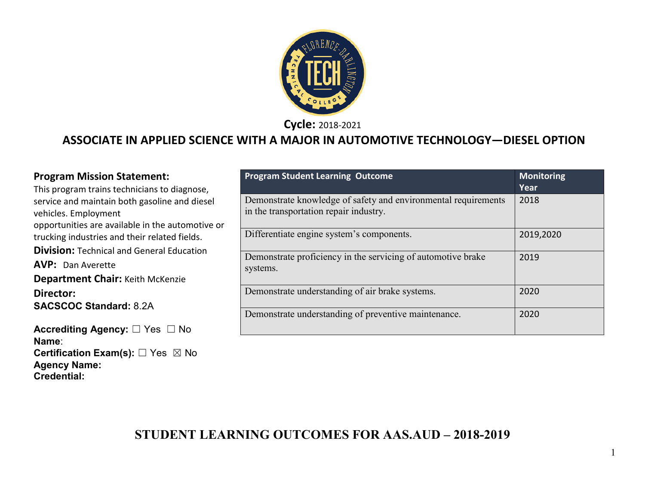

**Cycle:** 2018-2021

### **ASSOCIATE IN APPLIED SCIENCE WITH A MAJOR IN AUTOMOTIVE TECHNOLOGY—DIESEL OPTION**

**Certification Exam(s):** ☐ Yes ☒ No

**Name**:

**Agency Name: Credential:**

| <b>Program Mission Statement:</b><br>This program trains technicians to diagnose,                 | <b>Program Student Learning Outcome</b>                                                                  | <b>Monitoring</b><br>Year |
|---------------------------------------------------------------------------------------------------|----------------------------------------------------------------------------------------------------------|---------------------------|
| service and maintain both gasoline and diesel<br>vehicles. Employment                             | Demonstrate knowledge of safety and environmental requirements<br>in the transportation repair industry. | 2018                      |
| opportunities are available in the automotive or<br>trucking industries and their related fields. | Differentiate engine system's components.                                                                | 2019,2020                 |
| <b>Division: Technical and General Education</b>                                                  | Demonstrate proficiency in the servicing of automotive brake                                             | 2019                      |
| <b>AVP: Dan Averette</b>                                                                          | systems.                                                                                                 |                           |
| <b>Department Chair: Keith McKenzie</b>                                                           |                                                                                                          |                           |
| Director:                                                                                         | Demonstrate understanding of air brake systems.                                                          | 2020                      |
| <b>SACSCOC Standard: 8.2A</b>                                                                     | Demonstrate understanding of preventive maintenance.                                                     | 2020                      |
| Accrediting Agency: □ Yes □ No                                                                    |                                                                                                          |                           |

### **STUDENT LEARNING OUTCOMES FOR AAS.AUD – 2018-2019**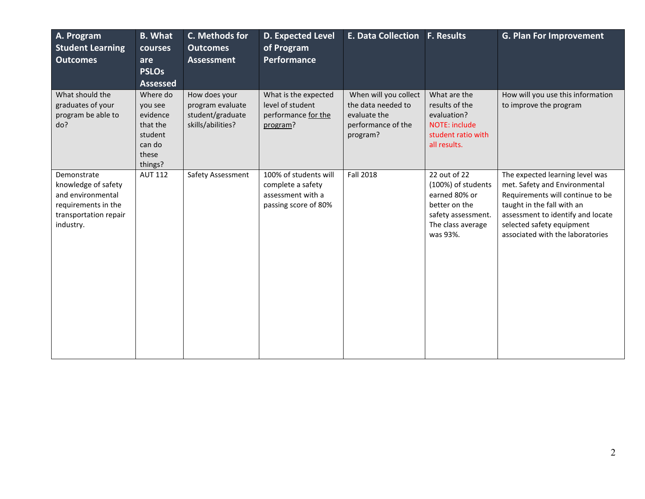| A. Program<br><b>Student Learning</b><br><b>Outcomes</b>                                                             | <b>B.</b> What<br>courses<br>are<br><b>PSLOs</b><br><b>Assessed</b>                  | C. Methods for<br><b>Outcomes</b><br><b>Assessment</b>                     | D. Expected Level<br>of Program<br>Performance                                          | <b>E. Data Collection</b>                                                                     | <b>F. Results</b>                                                                                                           | <b>G. Plan For Improvement</b>                                                                                                                                                                                                           |
|----------------------------------------------------------------------------------------------------------------------|--------------------------------------------------------------------------------------|----------------------------------------------------------------------------|-----------------------------------------------------------------------------------------|-----------------------------------------------------------------------------------------------|-----------------------------------------------------------------------------------------------------------------------------|------------------------------------------------------------------------------------------------------------------------------------------------------------------------------------------------------------------------------------------|
| What should the<br>graduates of your<br>program be able to<br>do?                                                    | Where do<br>you see<br>evidence<br>that the<br>student<br>can do<br>these<br>things? | How does your<br>program evaluate<br>student/graduate<br>skills/abilities? | What is the expected<br>level of student<br>performance for the<br>program?             | When will you collect<br>the data needed to<br>evaluate the<br>performance of the<br>program? | What are the<br>results of the<br>evaluation?<br><b>NOTE: include</b><br>student ratio with<br>all results.                 | How will you use this information<br>to improve the program                                                                                                                                                                              |
| Demonstrate<br>knowledge of safety<br>and environmental<br>requirements in the<br>transportation repair<br>industry. | <b>AUT 112</b>                                                                       | Safety Assessment                                                          | 100% of students will<br>complete a safety<br>assessment with a<br>passing score of 80% | <b>Fall 2018</b>                                                                              | 22 out of 22<br>(100%) of students<br>earned 80% or<br>better on the<br>safety assessment.<br>The class average<br>was 93%. | The expected learning level was<br>met. Safety and Environmental<br>Requirements will continue to be<br>taught in the fall with an<br>assessment to identify and locate<br>selected safety equipment<br>associated with the laboratories |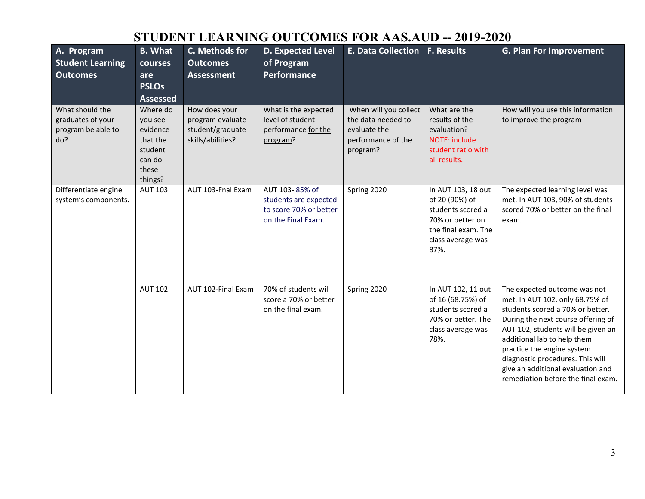# **STUDENT LEARNING OUTCOMES FOR AAS.AUD -- 2019-2020**

| A. Program<br><b>Student Learning</b><br><b>Outcomes</b>          | <b>B.</b> What<br>courses<br>are<br><b>PSLOs</b><br><b>Assessed</b>                  | C. Methods for<br><b>Outcomes</b><br><b>Assessment</b>                     | D. Expected Level<br>of Program<br>Performance                                          | <b>E. Data Collection F. Results</b>                                                          |                                                                                                                                   | <b>G. Plan For Improvement</b>                                                                                                                                                                                                                                                                                                                              |
|-------------------------------------------------------------------|--------------------------------------------------------------------------------------|----------------------------------------------------------------------------|-----------------------------------------------------------------------------------------|-----------------------------------------------------------------------------------------------|-----------------------------------------------------------------------------------------------------------------------------------|-------------------------------------------------------------------------------------------------------------------------------------------------------------------------------------------------------------------------------------------------------------------------------------------------------------------------------------------------------------|
| What should the<br>graduates of your<br>program be able to<br>do? | Where do<br>you see<br>evidence<br>that the<br>student<br>can do<br>these<br>things? | How does your<br>program evaluate<br>student/graduate<br>skills/abilities? | What is the expected<br>level of student<br>performance for the<br>program?             | When will you collect<br>the data needed to<br>evaluate the<br>performance of the<br>program? | What are the<br>results of the<br>evaluation?<br><b>NOTE: include</b><br>student ratio with<br>all results.                       | How will you use this information<br>to improve the program                                                                                                                                                                                                                                                                                                 |
| Differentiate engine<br>system's components.                      | <b>AUT 103</b>                                                                       | AUT 103-Fnal Exam                                                          | AUT 103-85% of<br>students are expected<br>to score 70% or better<br>on the Final Exam. | Spring 2020                                                                                   | In AUT 103, 18 out<br>of 20 (90%) of<br>students scored a<br>70% or better on<br>the final exam. The<br>class average was<br>87%. | The expected learning level was<br>met. In AUT 103, 90% of students<br>scored 70% or better on the final<br>exam.                                                                                                                                                                                                                                           |
|                                                                   | <b>AUT 102</b>                                                                       | AUT 102-Final Exam                                                         | 70% of students will<br>score a 70% or better<br>on the final exam.                     | Spring 2020                                                                                   | In AUT 102, 11 out<br>of 16 (68.75%) of<br>students scored a<br>70% or better. The<br>class average was<br>78%.                   | The expected outcome was not<br>met. In AUT 102, only 68.75% of<br>students scored a 70% or better.<br>During the next course offering of<br>AUT 102, students will be given an<br>additional lab to help them<br>practice the engine system<br>diagnostic procedures. This will<br>give an additional evaluation and<br>remediation before the final exam. |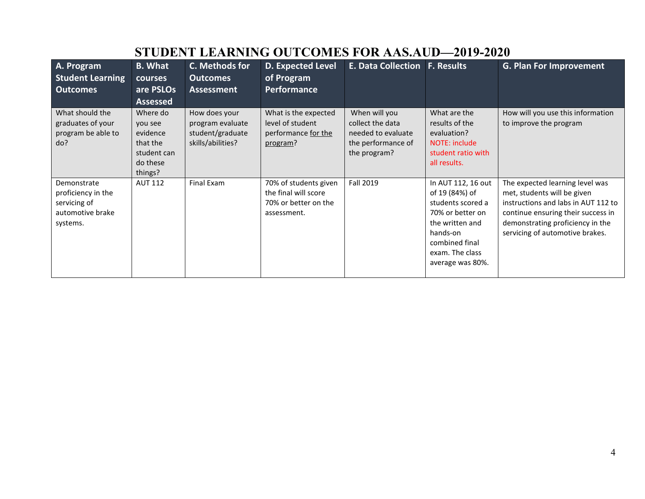| A. Program<br><b>Student Learning</b><br><b>Outcomes</b>                          | <b>B.</b> What<br>courses<br>are PSLOs<br><b>Assessed</b>                         | C. Methods for<br><b>Outcomes</b><br><b>Assessment</b>                     | <b>D. Expected Level</b><br>of Program<br><b>Performance</b>                         | <b>E. Data Collection F. Results</b>                                                          |                                                                                                                                                                       | <b>G. Plan For Improvement</b>                                                                                                                                                                                     |
|-----------------------------------------------------------------------------------|-----------------------------------------------------------------------------------|----------------------------------------------------------------------------|--------------------------------------------------------------------------------------|-----------------------------------------------------------------------------------------------|-----------------------------------------------------------------------------------------------------------------------------------------------------------------------|--------------------------------------------------------------------------------------------------------------------------------------------------------------------------------------------------------------------|
| What should the<br>graduates of your<br>program be able to<br>do?                 | Where do<br>you see<br>evidence<br>that the<br>student can<br>do these<br>things? | How does your<br>program evaluate<br>student/graduate<br>skills/abilities? | What is the expected<br>level of student<br>performance for the<br>program?          | When will you<br>collect the data<br>needed to evaluate<br>the performance of<br>the program? | What are the<br>results of the<br>evaluation?<br>NOTE: include<br>student ratio with<br>all results.                                                                  | How will you use this information<br>to improve the program                                                                                                                                                        |
| Demonstrate<br>proficiency in the<br>servicing of<br>automotive brake<br>systems. | <b>AUT 112</b>                                                                    | Final Exam                                                                 | 70% of students given<br>the final will score<br>70% or better on the<br>assessment. | Fall 2019                                                                                     | In AUT 112, 16 out<br>of 19 (84%) of<br>students scored a<br>70% or better on<br>the written and<br>hands-on<br>combined final<br>exam. The class<br>average was 80%. | The expected learning level was<br>met, students will be given<br>instructions and labs in AUT 112 to<br>continue ensuring their success in<br>demonstrating proficiency in the<br>servicing of automotive brakes. |

# **STUDENT LEARNING OUTCOMES FOR AAS.AUD—2019-2020**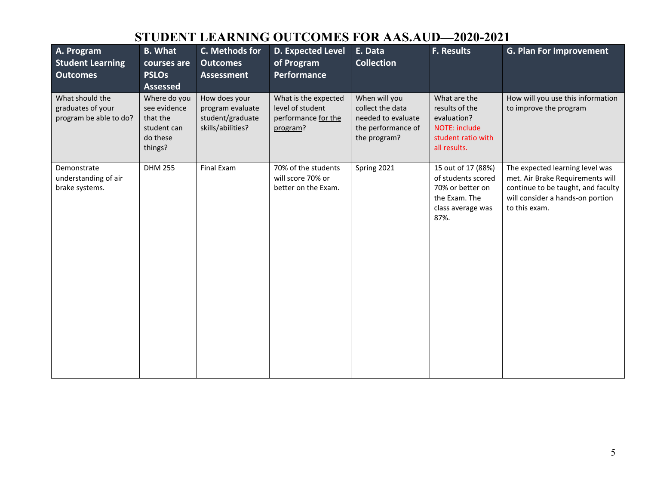## **STUDENT LEARNING OUTCOMES FOR AAS.AUD—2020-2021**

| A. Program<br><b>Student Learning</b><br><b>Outcomes</b>       | <b>B. What</b><br>courses are<br><b>PSLOs</b><br><b>Assessed</b>               | C. Methods for<br><b>Outcomes</b><br><b>Assessment</b>                     | D. Expected Level<br>of Program<br><b>Performance</b>                       | E. Data<br><b>Collection</b>                                                                  | F. Results                                                                                                 | <b>G. Plan For Improvement</b>                                                                                                                                 |
|----------------------------------------------------------------|--------------------------------------------------------------------------------|----------------------------------------------------------------------------|-----------------------------------------------------------------------------|-----------------------------------------------------------------------------------------------|------------------------------------------------------------------------------------------------------------|----------------------------------------------------------------------------------------------------------------------------------------------------------------|
| What should the<br>graduates of your<br>program be able to do? | Where do you<br>see evidence<br>that the<br>student can<br>do these<br>things? | How does your<br>program evaluate<br>student/graduate<br>skills/abilities? | What is the expected<br>level of student<br>performance for the<br>program? | When will you<br>collect the data<br>needed to evaluate<br>the performance of<br>the program? | What are the<br>results of the<br>evaluation?<br>NOTE: include<br>student ratio with<br>all results.       | How will you use this information<br>to improve the program                                                                                                    |
| Demonstrate<br>understanding of air<br>brake systems.          | <b>DHM 255</b>                                                                 | Final Exam                                                                 | 70% of the students<br>will score 70% or<br>better on the Exam.             | Spring 2021                                                                                   | 15 out of 17 (88%)<br>of students scored<br>70% or better on<br>the Exam. The<br>class average was<br>87%. | The expected learning level was<br>met. Air Brake Requirements will<br>continue to be taught, and faculty<br>will consider a hands-on portion<br>to this exam. |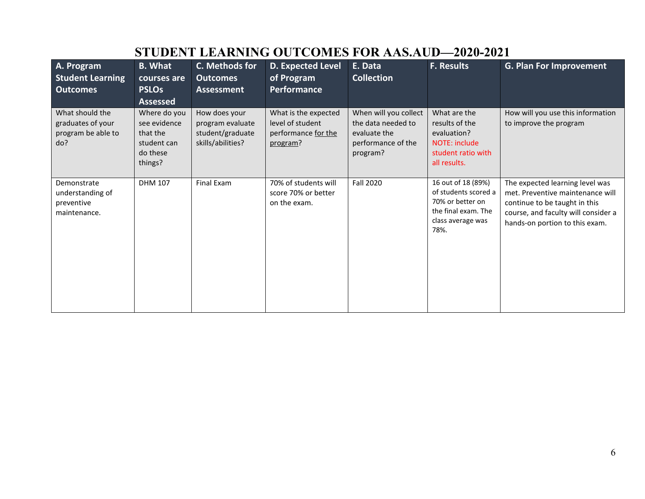| A. Program                                                        | <b>B.</b> What                                                                                    | C. Methods for                                                             | <b>D. Expected Level</b>                                                    | E. Data                                                                                       | <b>F. Results</b>                                                                                                  | <b>G. Plan For Improvement</b>                                                                                                                                                |
|-------------------------------------------------------------------|---------------------------------------------------------------------------------------------------|----------------------------------------------------------------------------|-----------------------------------------------------------------------------|-----------------------------------------------------------------------------------------------|--------------------------------------------------------------------------------------------------------------------|-------------------------------------------------------------------------------------------------------------------------------------------------------------------------------|
| <b>Student Learning</b>                                           | courses are                                                                                       | <b>Outcomes</b>                                                            | of Program                                                                  | <b>Collection</b>                                                                             |                                                                                                                    |                                                                                                                                                                               |
| <b>Outcomes</b>                                                   | <b>PSLOs</b>                                                                                      | Assessment                                                                 | Performance                                                                 |                                                                                               |                                                                                                                    |                                                                                                                                                                               |
| What should the<br>graduates of your<br>program be able to<br>do? | <b>Assessed</b><br>Where do you<br>see evidence<br>that the<br>student can<br>do these<br>things? | How does your<br>program evaluate<br>student/graduate<br>skills/abilities? | What is the expected<br>level of student<br>performance for the<br>program? | When will you collect<br>the data needed to<br>evaluate the<br>performance of the<br>program? | What are the<br>results of the<br>evaluation?<br>NOTE: include<br>student ratio with<br>all results.               | How will you use this information<br>to improve the program                                                                                                                   |
| Demonstrate<br>understanding of<br>preventive<br>maintenance.     | <b>DHM 107</b>                                                                                    | Final Exam                                                                 | 70% of students will<br>score 70% or better<br>on the exam.                 | <b>Fall 2020</b>                                                                              | 16 out of 18 (89%)<br>of students scored a<br>70% or better on<br>the final exam. The<br>class average was<br>78%. | The expected learning level was<br>met. Preventive maintenance will<br>continue to be taught in this<br>course, and faculty will consider a<br>hands-on portion to this exam. |

# **STUDENT LEARNING OUTCOMES FOR AAS.AUD—2020-2021**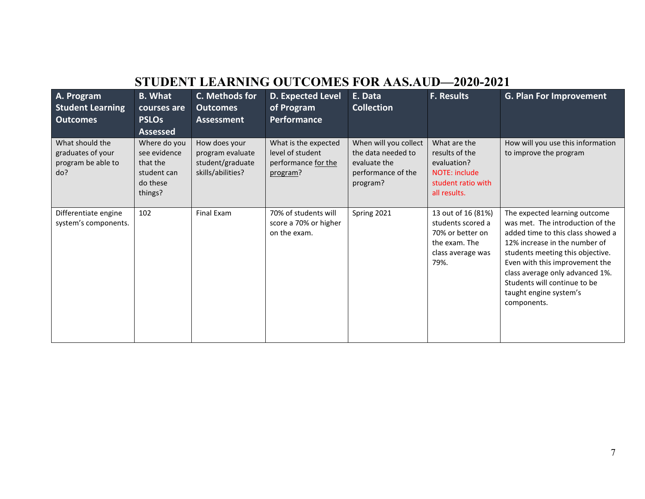### **STUDENT LEARNING OUTCOMES FOR AAS.AUD—2020-2021**

| A. Program<br><b>Student Learning</b><br><b>Outcomes</b>          | <b>B.</b> What<br>courses are<br><b>PSLOs</b><br><b>Assessed</b>               | C. Methods for<br><b>Outcomes</b><br><b>Assessment</b>                     | <b>D. Expected Level</b><br>of Program<br>Performance                       | E. Data<br><b>Collection</b>                                                                  | <b>F. Results</b>                                                                                         | <b>G. Plan For Improvement</b>                                                                                                                                                                                                                                                                                            |
|-------------------------------------------------------------------|--------------------------------------------------------------------------------|----------------------------------------------------------------------------|-----------------------------------------------------------------------------|-----------------------------------------------------------------------------------------------|-----------------------------------------------------------------------------------------------------------|---------------------------------------------------------------------------------------------------------------------------------------------------------------------------------------------------------------------------------------------------------------------------------------------------------------------------|
| What should the<br>graduates of your<br>program be able to<br>do? | Where do you<br>see evidence<br>that the<br>student can<br>do these<br>things? | How does your<br>program evaluate<br>student/graduate<br>skills/abilities? | What is the expected<br>level of student<br>performance for the<br>program? | When will you collect<br>the data needed to<br>evaluate the<br>performance of the<br>program? | What are the<br>results of the<br>evaluation?<br>NOTE: include<br>student ratio with<br>all results.      | How will you use this information<br>to improve the program                                                                                                                                                                                                                                                               |
| Differentiate engine<br>system's components.                      | 102                                                                            | Final Exam                                                                 | 70% of students will<br>score a 70% or higher<br>on the exam.               | Spring 2021                                                                                   | 13 out of 16 (81%)<br>students scored a<br>70% or better on<br>the exam. The<br>class average was<br>79%. | The expected learning outcome<br>was met. The introduction of the<br>added time to this class showed a<br>12% increase in the number of<br>students meeting this objective.<br>Even with this improvement the<br>class average only advanced 1%.<br>Students will continue to be<br>taught engine system's<br>components. |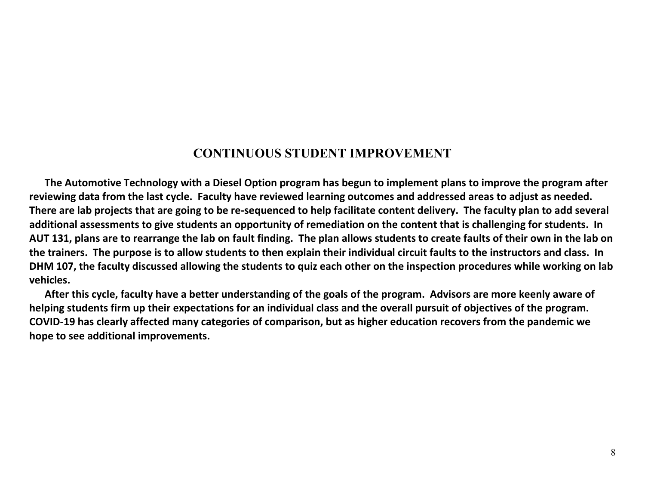### **CONTINUOUS STUDENT IMPROVEMENT**

 **The Automotive Technology with a Diesel Option program has begun to implement plans to improve the program after reviewing data from the last cycle. Faculty have reviewed learning outcomes and addressed areas to adjust as needed. There are lab projects that are going to be re-sequenced to help facilitate content delivery. The faculty plan to add several additional assessments to give students an opportunity of remediation on the content that is challenging for students. In AUT 131, plans are to rearrange the lab on fault finding. The plan allows students to create faults of their own in the lab on the trainers. The purpose is to allow students to then explain their individual circuit faults to the instructors and class. In DHM 107, the faculty discussed allowing the students to quiz each other on the inspection procedures while working on lab vehicles.**

 **After this cycle, faculty have a better understanding of the goals of the program. Advisors are more keenly aware of helping students firm up their expectations for an individual class and the overall pursuit of objectives of the program. COVID-19 has clearly affected many categories of comparison, but as higher education recovers from the pandemic we hope to see additional improvements.**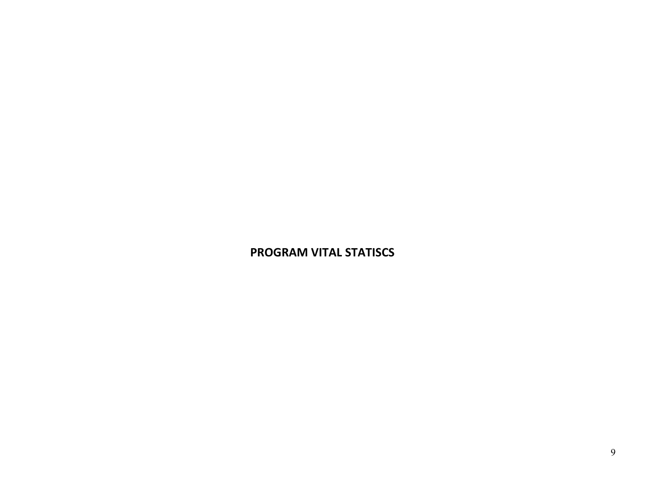### **PROGRAM VITAL STATISCS**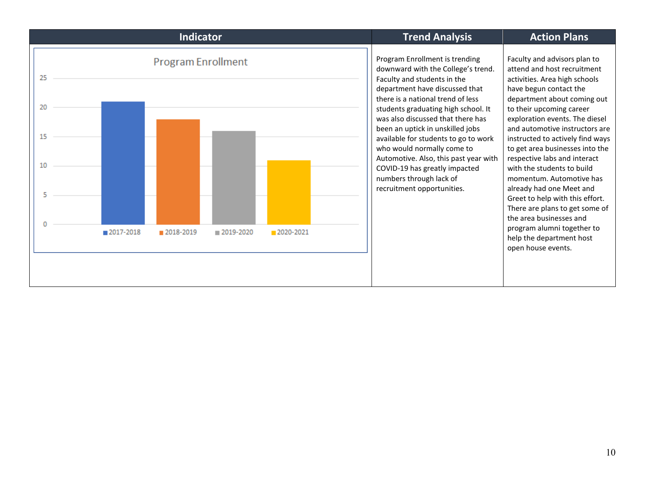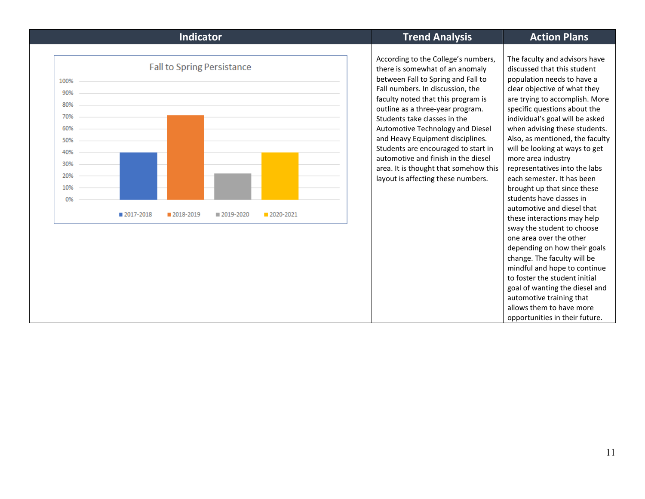|                                                                           | <b>Indicator</b>                                                                        | <b>Trend Analysis</b>                                                                                                                                                                                                                                                                                                                                                                                                                                                                           | <b>Action Plans</b>                                                                                                                                                                                                                                                                                                                                                                                                                                                                                                                                                                                                                                                                                                                                                                                                                                                     |
|---------------------------------------------------------------------------|-----------------------------------------------------------------------------------------|-------------------------------------------------------------------------------------------------------------------------------------------------------------------------------------------------------------------------------------------------------------------------------------------------------------------------------------------------------------------------------------------------------------------------------------------------------------------------------------------------|-------------------------------------------------------------------------------------------------------------------------------------------------------------------------------------------------------------------------------------------------------------------------------------------------------------------------------------------------------------------------------------------------------------------------------------------------------------------------------------------------------------------------------------------------------------------------------------------------------------------------------------------------------------------------------------------------------------------------------------------------------------------------------------------------------------------------------------------------------------------------|
| 100%<br>90%<br>80%<br>70%<br>60%<br>50%<br>40%<br>30%<br>20%<br>10%<br>0% | <b>Fall to Spring Persistance</b><br>2017-2018<br>2020-2021<br>2018-2019<br>■ 2019-2020 | According to the College's numbers,<br>there is somewhat of an anomaly<br>between Fall to Spring and Fall to<br>Fall numbers. In discussion, the<br>faculty noted that this program is<br>outline as a three-year program.<br>Students take classes in the<br>Automotive Technology and Diesel<br>and Heavy Equipment disciplines.<br>Students are encouraged to start in<br>automotive and finish in the diesel<br>area. It is thought that somehow this<br>layout is affecting these numbers. | The faculty and advisors have<br>discussed that this student<br>population needs to have a<br>clear objective of what they<br>are trying to accomplish. More<br>specific questions about the<br>individual's goal will be asked<br>when advising these students.<br>Also, as mentioned, the faculty<br>will be looking at ways to get<br>more area industry<br>representatives into the labs<br>each semester. It has been<br>brought up that since these<br>students have classes in<br>automotive and diesel that<br>these interactions may help<br>sway the student to choose<br>one area over the other<br>depending on how their goals<br>change. The faculty will be<br>mindful and hope to continue<br>to foster the student initial<br>goal of wanting the diesel and<br>automotive training that<br>allows them to have more<br>opportunities in their future. |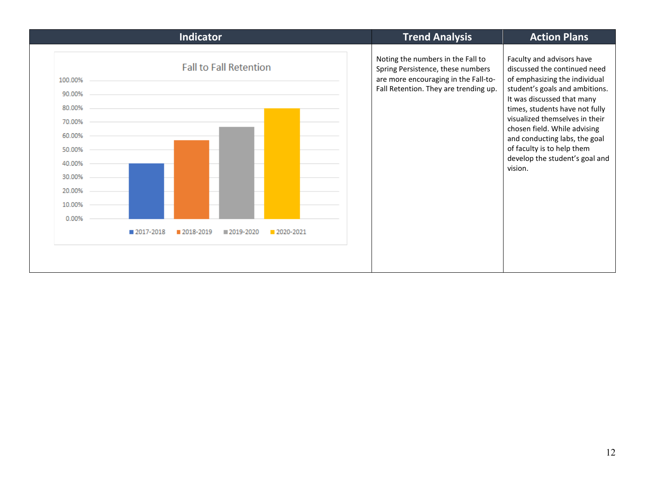|                                                                                                            |           | Indicator |                               |           |  | <b>Trend Analysis</b>                                                                                                                                   | <b>Action Plans</b>                                                                                                                                                                                                                                                                                                                                                        |
|------------------------------------------------------------------------------------------------------------|-----------|-----------|-------------------------------|-----------|--|---------------------------------------------------------------------------------------------------------------------------------------------------------|----------------------------------------------------------------------------------------------------------------------------------------------------------------------------------------------------------------------------------------------------------------------------------------------------------------------------------------------------------------------------|
| 100.00%<br>90.00%<br>80.00%<br>70.00%<br>60.00%<br>50.00%<br>40.00%<br>30.00%<br>20.00%<br>10.00%<br>0.00% |           |           | <b>Fall to Fall Retention</b> |           |  | Noting the numbers in the Fall to<br>Spring Persistence, these numbers<br>are more encouraging in the Fall-to-<br>Fall Retention. They are trending up. | Faculty and advisors have<br>discussed the continued need<br>of emphasizing the individual<br>student's goals and ambitions.<br>It was discussed that many<br>times, students have not fully<br>visualized themselves in their<br>chosen field. While advising<br>and conducting labs, the goal<br>of faculty is to help them<br>develop the student's goal and<br>vision. |
|                                                                                                            | 2017-2018 | 2018-2019 | 2019-2020                     | 2020-2021 |  |                                                                                                                                                         |                                                                                                                                                                                                                                                                                                                                                                            |
|                                                                                                            |           |           |                               |           |  |                                                                                                                                                         |                                                                                                                                                                                                                                                                                                                                                                            |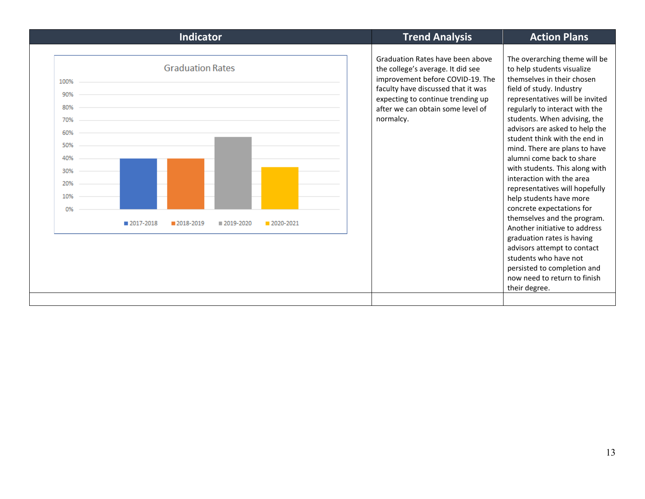| <b>Indicator</b>                                                                                                                                           | <b>Trend Analysis</b>                                                                                                                                                                                                                  | <b>Action Plans</b>                                                                                                                                                                                                                                                                                                                                                                                                                                                                                                                                                                                                                                                                                                                                        |
|------------------------------------------------------------------------------------------------------------------------------------------------------------|----------------------------------------------------------------------------------------------------------------------------------------------------------------------------------------------------------------------------------------|------------------------------------------------------------------------------------------------------------------------------------------------------------------------------------------------------------------------------------------------------------------------------------------------------------------------------------------------------------------------------------------------------------------------------------------------------------------------------------------------------------------------------------------------------------------------------------------------------------------------------------------------------------------------------------------------------------------------------------------------------------|
| <b>Graduation Rates</b><br>100%<br>90%<br>80%<br>70%<br>60%<br>50%<br>40%<br>30%<br>20%<br>10%<br>0%<br>2017-2018<br>2018-2019<br>■ 2019-2020<br>2020-2021 | Graduation Rates have been above<br>the college's average. It did see<br>improvement before COVID-19. The<br>faculty have discussed that it was<br>expecting to continue trending up<br>after we can obtain some level of<br>normalcy. | The overarching theme will be<br>to help students visualize<br>themselves in their chosen<br>field of study. Industry<br>representatives will be invited<br>regularly to interact with the<br>students. When advising, the<br>advisors are asked to help the<br>student think with the end in<br>mind. There are plans to have<br>alumni come back to share<br>with students. This along with<br>interaction with the area<br>representatives will hopefully<br>help students have more<br>concrete expectations for<br>themselves and the program.<br>Another initiative to address<br>graduation rates is having<br>advisors attempt to contact<br>students who have not<br>persisted to completion and<br>now need to return to finish<br>their degree. |
|                                                                                                                                                            |                                                                                                                                                                                                                                        |                                                                                                                                                                                                                                                                                                                                                                                                                                                                                                                                                                                                                                                                                                                                                            |

Ī